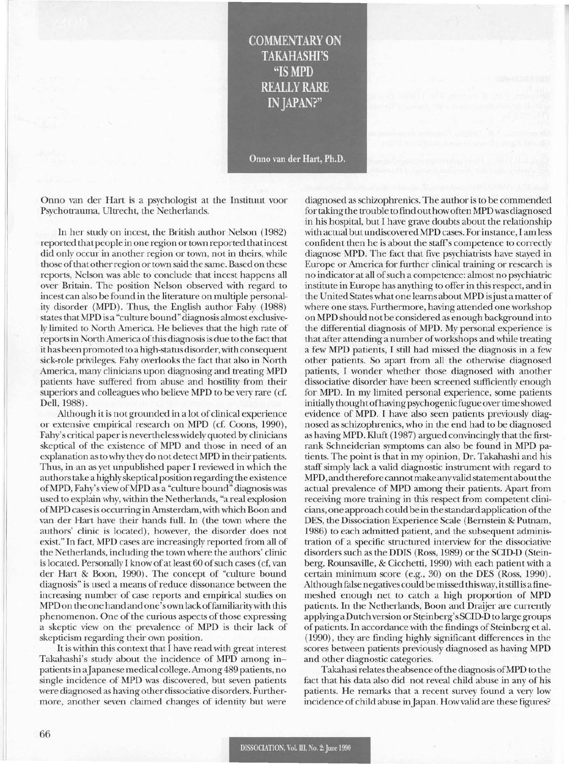COMMENTARY ON TAKAHASHI'S "IS **MPD** REALLY RARE IN JAPAN?"

Onno van der Hart, Ph.D.

Onno van der Hart is a psychologist at the Instituut voor Psychotrauma, Ultrecht, the Netherlands.

In her study on incest, the British author Nelson (1982) reported thatpeople in one region ortown reported thatincest did only occur in another region or town, not in theirs, while those ofthat otherregion ortown said the same. Based on these reports, Nelson was able to conclude that incest happens all over Britain. The position Nelson observed with regard to incest can also be found in the literature on multiple personality disorder (MPD). Thus, the English author Fahy (1988) states that MPD is a "culture bound" diagnosis almost exclusively limited to North America. He believes that the high rate of reports in North America of this diagnosis is due to the fact that ithas been promoted to a high-status disorder, with consequent sick-role privileges. Fahy overlooks the fact that also in North America, many clinicians upon diagnosing and treating MPD patients have suffered from abuse and hostility from their superiors and colleagues who believe MPD to be very rare (cf. Dell, 1988).

Although it is not grounded in a lot of clinical experience or extensive empirical research on MPD (cf. Coons, 1990), Fahy's critical paper is nevertheless widely quoted by clinicians skeptical of the existence of MPD and those in need of an explanation as to why they do not detect MPD in their patients. Thus, in an as yet unpublished paper I reviewed in which the authorstake a highly skeptical position regarding the existence ofMPD, Fahy's view ofMPD as a "culture bound" diagnosis was used to explain why, within the Netherlands, "a real explosion ofMPD casesis occurring in Amsterdam, with which Boon and van der Hart have their hands full. In (the town where the authors' clinic is located), however, the disorder does not exist." In fact, MPD cases are increasingly reported from all of the Netherlands, including the town where the authors' clinic is located. Personally I know of at least 60 of such cases (cf, van der Hart & Boon, 1990). The concept of "culture bound diagnosis" is used a means of reduce dissonance between the increasing number of case reports and empirical studies on MPDon the one hand and one's own lackoffamiliaritywith this phenomenon. One of the curious aspects of those expressing a skeptic view on the prevalence of MPD is their lack of skepticism regarding their own position.

It is within this context that I have read with great interest Takahashi's study about the incidence of MPD among inpatientsin aJapanese medical college. Among 489 patients, no single incidence of MPD was discovered, but seven patients were diagnosed as having other dissociative disorders. Furthermore, another seven claimed changes of identity but were

diagnosed as schizophrenics. The author is to be commended for taking the trouble to find out howoften MPD was diagnosed in his hospital, but I have grave doubts about the relationship with actual butundiscovered MPD cases. Forinstance, I am less confident then he is about the staff's competence to correctly diagnose MPD. The fact that five psychiatrists have stayed in Europe or America for further clinical training or research is no indicator at all ofsuch a competence: almost no psychiatric institute in Europe has anything to offer in this respect, and in the United Stateswhat one learns about MPD isjust a matter of where one stays. Furthermore, having attended one workshop on MPD should not be considered as enough background into the differential diagnosis ofMPD. My personal experience is that after attending a number ofworkshops and while treating a few MPD patients, I still had missed the diagnosis in a few other patients. So apart from all the otherwise diagnosed patients, I wonder whether those diagnosed with another dissociative disorder have been screened sufficiently enough for MPD. In my limited personal experience, some patients initially thoughtofhaving psychogenic fugue overtime showed evidence of MPD. I have also seen patients previously diagnosed as schizophrenics, who in the end had to be diagnosed as having MPD. Kluft (1987) argued convincingly that the firstrank Schneiderian symptoms can also be found in MPD patients. The point is that in my opinion, Dr. Takahashi and his staff simply lack a valid diagnostic instrument with regard to MPD, and therefore cannotmake anyvalid statementaboutthe actual prevalence of MPD among their patients. Apart from receiving more training in this respect from competent clinicians, one approach could be in the standard application ofthe DES, the Dissociation Experience Scale (Bernstein & Putnam, 1986) to each admitted patient, and the subsequent administration of a specific structured interview for the dissociative disorders such as the DDIS (Ross, 1989) or the SCID-D (Steinberg, Rounsaville, & Cicchetti, 1990) with each patient with a certain minimum score (e.g., 30) on the DES (Ross, 1990). Although false negatives could be missed thisway, itstill is a finemeshed enough net to catch a high proportion of MPD patients. In the Netherlands, Boon and Draijer are currently applying a Dutch version or Steinberg's SCID-D to large groups of patients. In accordance with the findings of Steinberg et al. (1990), they are finding highly significant differences in the scores between patients previously diagnosed as having MPD and other diagnostic categories.

Takahasirelatesthe absence ofthe diagnosis ofMPD to the fact that his data also did not reveal child abuse in any of his patients. He remarks that a recent survey found a very low incidence of child abuse in Japan. How valid are these figures?